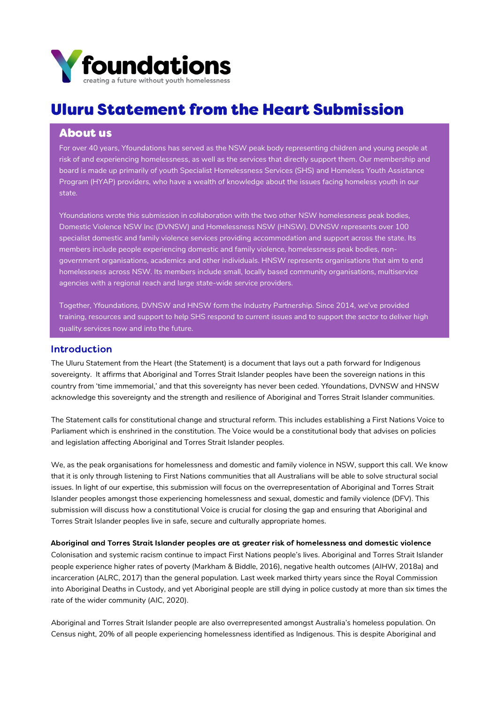

# Uluru Statement from the Heart Submission

# About us

For over 40 years, Yfoundations has served as the NSW peak body representing children and young people at risk of and experiencing homelessness, as well as the services that directly support them. Our membership and board is made up primarily of youth Specialist Homelessness Services (SHS) and Homeless Youth Assistance Program (HYAP) providers, who have a wealth of knowledge about the issues facing homeless youth in our state.

Yfoundations wrote this submission in collaboration with the two other NSW homelessness peak bodies, Domestic Violence NSW Inc (DVNSW) and Homelessness NSW (HNSW). DVNSW represents over 100 specialist domestic and family violence services providing accommodation and support across the state. Its members include people experiencing domestic and family violence, homelessness peak bodies, nongovernment organisations, academics and other individuals. HNSW represents organisations that aim to end homelessness across NSW. Its members include small, locally based community organisations, multiservice agencies with a regional reach and large state-wide service providers.

Together, Yfoundations, DVNSW and HNSW form the Industry Partnership. Since 2014, we've provided training, resources and support to help SHS respond to current issues and to support the sector to deliver high quality services now and into the future.

### Introduction

The Uluru Statement from the Heart (the Statement) is a document that lays out a path forward for Indigenous sovereignty. It affirms that Aboriginal and Torres Strait Islander peoples have been the sovereign nations in this country from 'time immemorial,' and that this sovereignty has never been ceded. Yfoundations, DVNSW and HNSW acknowledge this sovereignty and the strength and resilience of Aboriginal and Torres Strait Islander communities.

The Statement calls for constitutional change and structural reform. This includes establishing a First Nations Voice to Parliament which is enshrined in the constitution. The Voice would be a constitutional body that advises on policies and legislation affecting Aboriginal and Torres Strait Islander peoples.

We, as the peak organisations for homelessness and domestic and family violence in NSW, support this call. We know that it is only through listening to First Nations communities that all Australians will be able to solve structural social issues. In light of our expertise, this submission will focus on the overrepresentation of Aboriginal and Torres Strait Islander peoples amongst those experiencing homelessness and sexual, domestic and family violence (DFV). This submission will discuss how a constitutional Voice is crucial for closing the gap and ensuring that Aboriginal and Torres Strait Islander peoples live in safe, secure and culturally appropriate homes.

Aboriginal and Torres Strait Islander peoples are at greater risk of homelessness and domestic violence Colonisation and systemic racism continue to impact First Nations people's lives. Aboriginal and Torres Strait Islander people experience higher rates of poverty (Markham & Biddle, 2016), negative health outcomes (AIHW, 2018a) and incarceration (ALRC, 2017) than the general population. Last week marked thirty years since the Royal Commission into Aboriginal Deaths in Custody, and yet Aboriginal people are still dying in police custody at more than six times the rate of the wider community (AIC, 2020).

Aboriginal and Torres Strait Islander people are also overrepresented amongst Australia's homeless population. On Census night, 20% of all people experiencing homelessness identified as Indigenous. This is despite Aboriginal and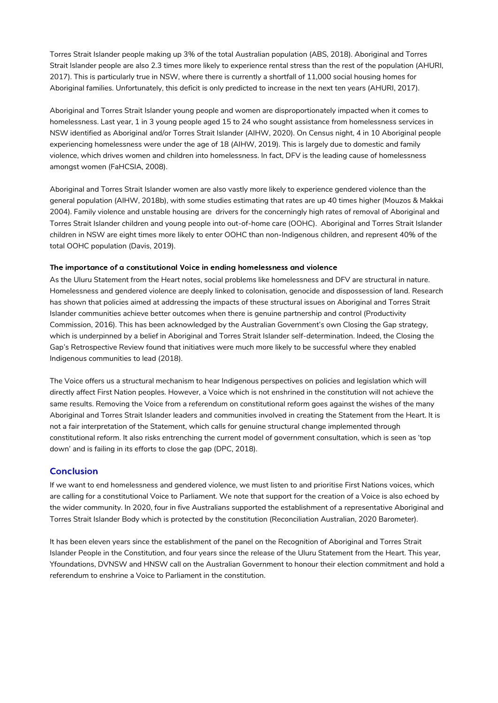Torres Strait Islander people making up 3% of the total Australian population (ABS, 2018). Aboriginal and Torres Strait Islander people are also 2.3 times more likely to experience rental stress than the rest of the population (AHURI, 2017). This is particularly true in NSW, where there is currently a shortfall of 11,000 social housing homes for Aboriginal families. Unfortunately, this deficit is only predicted to increase in the next ten years (AHURI, 2017).

Aboriginal and Torres Strait Islander young people and women are disproportionately impacted when it comes to homelessness. Last year, 1 in 3 young people aged 15 to 24 who sought assistance from homelessness services in NSW identified as Aboriginal and/or Torres Strait Islander (AIHW, 2020). On Census night, 4 in 10 Aboriginal people experiencing homelessness were under the age of 18 (AIHW, 2019). This is largely due to domestic and family violence, which drives women and children into homelessness. In fact, DFV is the leading cause of homelessness amongst women (FaHCSIA, 2008).

Aboriginal and Torres Strait Islander women are also vastly more likely to experience gendered violence than the general population (AIHW, 2018b), with some studies estimating that rates are up 40 times higher (Mouzos & Makkai 2004). Family violence and unstable housing are drivers for the concerningly high rates of removal of Aboriginal and Torres Strait Islander children and young people into out-of-home care (OOHC). Aboriginal and Torres Strait Islander children in NSW are eight times more likely to enter OOHC than non-Indigenous children, and represent 40% of the total OOHC population (Davis, 2019).

#### The importance of a constitutional Voice in ending homelessness and violence

As the Uluru Statement from the Heart notes, social problems like homelessness and DFV are structural in nature. Homelessness and gendered violence are deeply linked to colonisation, genocide and dispossession of land. Research has shown that policies aimed at addressing the impacts of these structural issues on Aboriginal and Torres Strait Islander communities achieve better outcomes when there is genuine partnership and control (Productivity Commission, 2016). This has been acknowledged by the Australian Government's own Closing the Gap strategy, which is underpinned by a belief in Aboriginal and Torres Strait Islander self-determination. Indeed, the Closing the Gap's Retrospective Review found that initiatives were much more likely to be successful where they enabled Indigenous communities to lead (2018).

The Voice offers us a structural mechanism to hear Indigenous perspectives on policies and legislation which will directly affect First Nation peoples. However, a Voice which is not enshrined in the constitution will not achieve the same results. Removing the Voice from a referendum on constitutional reform goes against the wishes of the many Aboriginal and Torres Strait Islander leaders and communities involved in creating the Statement from the Heart. It is not a fair interpretation of the Statement, which calls for genuine structural change implemented through constitutional reform. It also risks entrenching the current model of government consultation, which is seen as 'top down' and is failing in its efforts to close the gap (DPC, 2018).

#### Conclusion

If we want to end homelessness and gendered violence, we must listen to and prioritise First Nations voices, which are calling for a constitutional Voice to Parliament. We note that support for the creation of a Voice is also echoed by the wider community. In 2020, four in five Australians supported the establishment of a representative Aboriginal and Torres Strait Islander Body which is protected by the constitution (Reconciliation Australian, 2020 Barometer).

It has been eleven years since the establishment of the panel on the Recognition of Aboriginal and Torres Strait Islander People in the Constitution, and four years since the release of the Uluru Statement from the Heart. This year, Yfoundations, DVNSW and HNSW call on the Australian Government to honour their election commitment and hold a referendum to enshrine a Voice to Parliament in the constitution.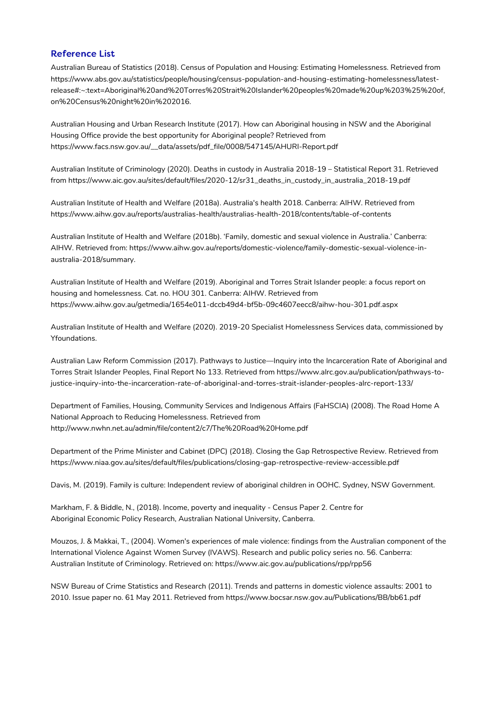## Reference List

Australian Bureau of Statistics (2018). Census of Population and Housing: Estimating Homelessness. Retrieved from https://www.abs.gov.au/statistics/people/housing/census-population-and-housing-estimating-homelessness/latest[release#:~:text=Aboriginal%20and%20Torres%20Strait%20Islander%20peoples%20made%20up%203%25%20of,](https://www.abs.gov.au/statistics/people/housing/census-population-and-housing-estimating-homelessness/latest-release#:~:text=Aboriginal%20and%20Torres%20Strait%20Islander%20peoples%20made%20up%203%25%20of,on%20Census%20night%20in%202016) on%20Census%20night%20in%202016.

Australian Housing and Urban Research Institute (2017). How can Aboriginal housing in NSW and the Aboriginal Housing Office provide the best opportunity for Aboriginal people? Retrieved from [https://www.facs.nsw.gov.au/\\_\\_data/assets/pdf\\_file/0008/547145/AHURI-Report.pdf](https://www.facs.nsw.gov.au/__data/assets/pdf_file/0008/547145/AHURI-Report.pdf)

Australian Institute of Criminology (2020). Deaths in custody in Australia 2018-19 – Statistical Report 31. Retrieved from [https://www.aic.gov.au/sites/default/files/2020-12/sr31\\_deaths\\_in\\_custody\\_in\\_australia\\_2018-19.pdf](https://www.aic.gov.au/sites/default/files/2020-12/sr31_deaths_in_custody_in_australia_2018-19.pdf)

Australian Institute of Health and Welfare (2018a). Australia's health 2018. Canberra: AIHW. Retrieved from https://www.aihw.gov.au/reports/australias-health/australias-health-2018/contents/table-of-contents

Australian Institute of Health and Welfare (2018b). 'Family, domestic and sexual violence in Australia.' Canberra: AIHW. Retrieved from: [https://www.aihw.gov.au/reports/domestic-violence/family-domestic-sexual-violence-in](https://www.aihw.gov.au/reports/domestic-violence/family-domestic-sexual-violence-in-australia-2018/summary)australia-2018/summary.

Australian Institute of Health and Welfare (2019). Aboriginal and Torres Strait Islander people: a focus report on housing and homelessness. Cat. no. HOU 301. Canberra: AIHW. Retrieved from <https://www.aihw.gov.au/getmedia/1654e011-dccb49d4-bf5b-09c4607eecc8/aihw-hou-301.pdf.aspx>

Australian Institute of Health and Welfare (2020). 2019-20 Specialist Homelessness Services data, commissioned by Yfoundations.

Australian Law Reform Commission (2017). Pathways to Justice—Inquiry into the Incarceration Rate of Aboriginal and Torres Strait Islander Peoples, Final Report No 133. Retrieved from https://www.alrc.gov.au/publication/pathways-to[justice-inquiry-into-the-incarceration-rate-of-aboriginal-and-torres-strait-islander-peoples-alrc-report-133/](https://www.alrc.gov.au/publication/pathways-to-justice-inquiry-into-the-incarceration-rate-of-aboriginal-and-torres-strait-islander-peoples-alrc-report-133/)

Department of Families, Housing, Community Services and Indigenous Affairs (FaHSCIA) (2008). The Road Home A National Approach to Reducing Homelessness. Retrieved from <http://www.nwhn.net.au/admin/file/content2/c7/The%20Road%20Home.pdf>

Department of the Prime Minister and Cabinet (DPC) (2018). Closing the Gap Retrospective Review. Retrieved from <https://www.niaa.gov.au/sites/default/files/publications/closing-gap-retrospective-review-accessible.pdf>

Davis, M. (2019). Family is culture: Independent review of aboriginal children in OOHC. Sydney, NSW Government.

Markham, F. & Biddle, N., (2018). Income, poverty and inequality - Census Paper 2. Centre for Aboriginal Economic Policy Research, Australian National University, Canberra.

Mouzos, J. & Makkai, T., (2004). Women's experiences of male violence: findings from the Australian component of the International Violence Against Women Survey (IVAWS). Research and public policy series no. 56. Canberra: Australian Institute of Criminology. Retrieved on: https://www.aic.gov.au/publications/rpp/rpp56

NSW Bureau of Crime Statistics and Research (2011). Trends and patterns in domestic violence assaults: 2001 to 2010. Issue paper no. 61 May 2011. Retrieved from <https://www.bocsar.nsw.gov.au/Publications/BB/bb61.pdf>